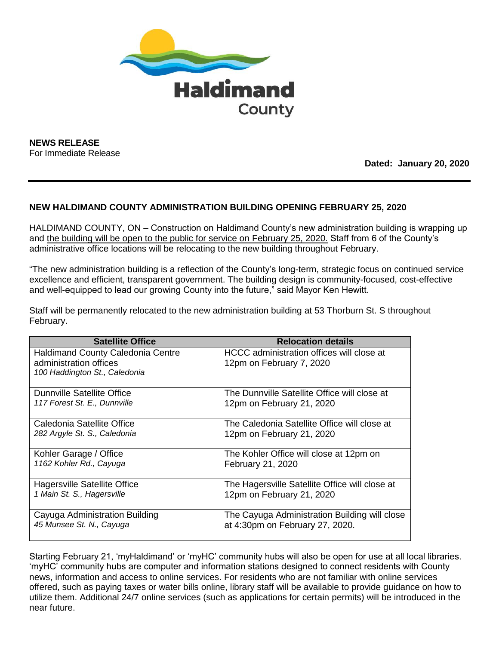

**NEWS RELEASE** For Immediate Release

## **Dated: January 20, 2020**

## **NEW HALDIMAND COUNTY ADMINISTRATION BUILDING OPENING FEBRUARY 25, 2020**

HALDIMAND COUNTY, ON – Construction on Haldimand County's new administration building is wrapping up and the building will be open to the public for service on February 25, 2020. Staff from 6 of the County's administrative office locations will be relocating to the new building throughout February.

"The new administration building is a reflection of the County's long-term, strategic focus on continued service excellence and efficient, transparent government. The building design is community-focused, cost-effective and well-equipped to lead our growing County into the future," said Mayor Ken Hewitt.

Staff will be permanently relocated to the new administration building at 53 Thorburn St. S throughout February.

| <b>Satellite Office</b>                                                                             | <b>Relocation details</b>                                             |
|-----------------------------------------------------------------------------------------------------|-----------------------------------------------------------------------|
| <b>Haldimand County Caledonia Centre</b><br>administration offices<br>100 Haddington St., Caledonia | HCCC administration offices will close at<br>12pm on February 7, 2020 |
| <b>Dunnville Satellite Office</b>                                                                   | The Dunnville Satellite Office will close at                          |
| 117 Forest St. E., Dunnville                                                                        | 12pm on February 21, 2020                                             |
| Caledonia Satellite Office                                                                          | The Caledonia Satellite Office will close at                          |
| 282 Argyle St. S., Caledonia                                                                        | 12pm on February 21, 2020                                             |
| Kohler Garage / Office                                                                              | The Kohler Office will close at 12pm on                               |
| 1162 Kohler Rd., Cayuga                                                                             | February 21, 2020                                                     |
| <b>Hagersville Satellite Office</b>                                                                 | The Hagersville Satellite Office will close at                        |
| 1 Main St. S., Hagersville                                                                          | 12pm on February 21, 2020                                             |
| Cayuga Administration Building                                                                      | The Cayuga Administration Building will close                         |
| 45 Munsee St. N., Cayuga                                                                            | at 4:30pm on February 27, 2020.                                       |

Starting February 21, 'myHaldimand' or 'myHC' community hubs will also be open for use at all local libraries. 'myHC' community hubs are computer and information stations designed to connect residents with County news, information and access to online services. For residents who are not familiar with online services offered, such as paying taxes or water bills online, library staff will be available to provide guidance on how to utilize them. Additional 24/7 online services (such as applications for certain permits) will be introduced in the near future.